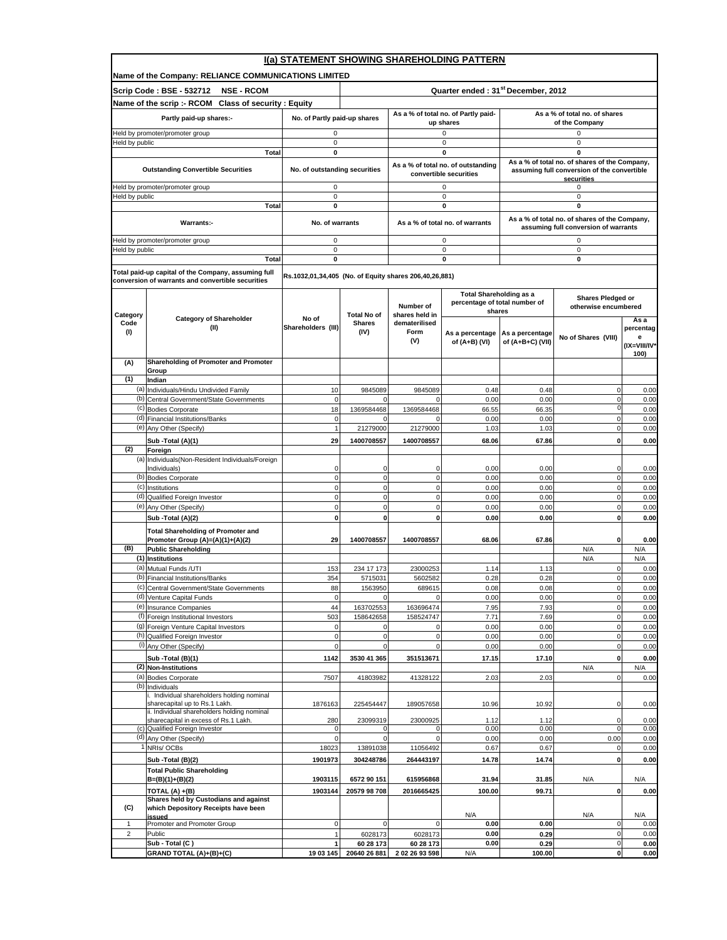|                   | I(a) STATEMENT SHOWING SHAREHOLDING PATTERN                                        |                                                        |                                                |                                                  |                                                                 |                                                    |                                                           |                      |  |  |  |
|-------------------|------------------------------------------------------------------------------------|--------------------------------------------------------|------------------------------------------------|--------------------------------------------------|-----------------------------------------------------------------|----------------------------------------------------|-----------------------------------------------------------|----------------------|--|--|--|
|                   | Name of the Company: RELIANCE COMMUNICATIONS LIMITED                               |                                                        |                                                |                                                  |                                                                 |                                                    |                                                           |                      |  |  |  |
|                   | <b>Scrip Code: BSE - 532712</b><br><b>NSE - RCOM</b>                               |                                                        | Quarter ended: 31 <sup>st</sup> December, 2012 |                                                  |                                                                 |                                                    |                                                           |                      |  |  |  |
|                   | Name of the scrip :- RCOM Class of security : Equity                               |                                                        |                                                |                                                  |                                                                 |                                                    |                                                           |                      |  |  |  |
|                   | Partly paid-up shares:-                                                            | No. of Partly paid-up shares                           |                                                | As a % of total no. of Partly paid-<br>up shares |                                                                 | As a % of total no. of shares<br>of the Company    |                                                           |                      |  |  |  |
|                   | leld by promoter/promoter group                                                    | $\mathsf 0$                                            |                                                |                                                  | 0                                                               | 0                                                  |                                                           |                      |  |  |  |
| Held by public    | Total                                                                              | $\mathsf 0$<br>$\mathbf 0$                             |                                                |                                                  | 0<br>0                                                          | 0                                                  |                                                           |                      |  |  |  |
|                   |                                                                                    |                                                        |                                                |                                                  | As a % of total no. of outstanding                              | 0<br>As a % of total no. of shares of the Company, |                                                           |                      |  |  |  |
|                   | <b>Outstanding Convertible Securities</b>                                          | No. of outstanding securities                          |                                                |                                                  | convertible securities                                          |                                                    | assuming full conversion of the convertible<br>securities |                      |  |  |  |
|                   | Held by promoter/promoter group                                                    | $\mathsf 0$                                            |                                                |                                                  | 0                                                               |                                                    | 0                                                         |                      |  |  |  |
| Held by public    | Total                                                                              | $\pmb{0}$<br>$\mathbf 0$                               |                                                |                                                  | 0<br>$\mathbf 0$                                                |                                                    | $\mathbf 0$<br>0                                          |                      |  |  |  |
|                   |                                                                                    |                                                        |                                                |                                                  |                                                                 |                                                    | As a % of total no. of shares of the Company,             |                      |  |  |  |
|                   | <b>Warrants:-</b>                                                                  | No. of warrants                                        |                                                |                                                  | As a % of total no. of warrants                                 |                                                    | assuming full conversion of warrants                      |                      |  |  |  |
|                   | Held by promoter/promoter group                                                    | $\mathbf 0$                                            |                                                |                                                  | $\mathbf 0$                                                     |                                                    | $\mathbf 0$                                               |                      |  |  |  |
| Held by public    | Total                                                                              | $\mathsf 0$<br>0                                       |                                                |                                                  | 0<br>0                                                          |                                                    | $\mathbf 0$<br>0                                          |                      |  |  |  |
|                   | Total paid-up capital of the Company, assuming full                                |                                                        |                                                |                                                  |                                                                 |                                                    |                                                           |                      |  |  |  |
|                   | conversion of warrants and convertible securities                                  | Rs.1032,01,34,405 (No. of Equity shares 206,40,26,881) |                                                |                                                  |                                                                 |                                                    |                                                           |                      |  |  |  |
|                   |                                                                                    |                                                        |                                                |                                                  | <b>Total Shareholding as a</b><br>percentage of total number of |                                                    | Shares Pledged or                                         |                      |  |  |  |
| Category          |                                                                                    |                                                        | <b>Total No of</b>                             | Number of<br>shares held in                      | shares                                                          |                                                    | otherwise encumbered                                      |                      |  |  |  |
| Code              | <b>Category of Shareholder</b><br>(II)                                             | No of<br>Shareholders (III)                            | <b>Shares</b>                                  | dematerilised                                    |                                                                 |                                                    |                                                           | As a<br>percentag    |  |  |  |
| (1)               |                                                                                    |                                                        | (IV)                                           | Form<br>(V)                                      | As a percentage<br>of (A+B) (VI)                                | As a percentage<br>of (A+B+C) (VII)                | No of Shares (VIII)                                       | e                    |  |  |  |
|                   |                                                                                    |                                                        |                                                |                                                  |                                                                 |                                                    |                                                           | (IX=VIII/IV*<br>100) |  |  |  |
| (A)               | Shareholding of Promoter and Promoter<br>Group                                     |                                                        |                                                |                                                  |                                                                 |                                                    |                                                           |                      |  |  |  |
| (1)               | Indian                                                                             |                                                        |                                                |                                                  |                                                                 |                                                    |                                                           |                      |  |  |  |
|                   | (a) Individuals/Hindu Undivided Family<br>(b) Central Government/State Governments | 10<br>$\mathbf 0$                                      | 9845089<br>0                                   | 9845089                                          | 0.48<br>0.00                                                    | 0.48<br>0.00                                       | 0<br>$\mathbf 0$                                          | 0.00<br>0.00         |  |  |  |
|                   | (c) Bodies Corporate                                                               | 18                                                     | 1369584468                                     | 1369584468                                       | 66.55                                                           | 66.35                                              | 0                                                         | 0.00                 |  |  |  |
|                   | (d) Financial Institutions/Banks                                                   | $\mathbf 0$                                            | $\Omega$                                       | $\Omega$                                         | 0.00                                                            | 0.00                                               | 0                                                         | 0.00                 |  |  |  |
|                   | (e) Any Other (Specify)                                                            | $\overline{1}$                                         | 21279000                                       | 21279000                                         | 1.03                                                            | 1.03                                               | 0                                                         | 0.00                 |  |  |  |
| (2)               | Sub - Total (A)(1)<br>Foreign                                                      | 29                                                     | 1400708557                                     | 1400708557                                       | 68.06                                                           | 67.86                                              | 0                                                         | 0.00                 |  |  |  |
|                   | (a) Individuals (Non-Resident Individuals/Foreign                                  |                                                        |                                                |                                                  |                                                                 |                                                    |                                                           |                      |  |  |  |
|                   | Individuals)<br>(b) Bodies Corporate                                               | 0<br>$\mathbf 0$                                       | 0<br>$\pmb{0}$                                 | 0<br>$\mathbf 0$                                 | 0.00<br>0.00                                                    | 0.00<br>0.00                                       | 0<br>$\mathbf 0$                                          | 0.00<br>0.00         |  |  |  |
|                   | (c) Institutions                                                                   | $\mathbf 0$                                            | $\mathbf 0$                                    | $\mathbf 0$                                      | 0.00                                                            | 0.00                                               | $\mathbf 0$                                               | 0.00                 |  |  |  |
|                   | (d) Qualified Foreign Investor<br>(e) Any Other (Specify)                          | $\mathbf 0$<br>$\mathbf 0$                             | $\mathbf 0$<br>$\mathbf 0$                     | 0<br>$\mathbf 0$                                 | 0.00<br>0.00                                                    | 0.00<br>0.00                                       | 0<br>0                                                    | 0.00<br>0.00         |  |  |  |
|                   | Sub - Total (A)(2)                                                                 | $\mathbf{0}$                                           | $\mathbf 0$                                    | $\mathbf 0$                                      | 0.00                                                            | 0.00                                               | $\mathbf{0}$                                              | 0.00                 |  |  |  |
|                   | <b>Total Shareholding of Promoter and</b>                                          |                                                        |                                                |                                                  |                                                                 |                                                    |                                                           |                      |  |  |  |
| (B)               | Promoter Group (A)=(A)(1)+(A)(2)<br><b>Public Shareholding</b>                     | 29                                                     | 1400708557                                     | 1400708557                                       | 68.06                                                           | 67.86                                              | 0<br>N/A                                                  | 0.00<br>N/A          |  |  |  |
|                   | (1) Institutions                                                                   |                                                        |                                                |                                                  |                                                                 |                                                    | N/A                                                       | N/A                  |  |  |  |
| (b)               | (a) Mutual Funds /UTI                                                              | 153                                                    | 234 17 173                                     | 23000253                                         | 1.14                                                            | 1.13                                               | 0                                                         | 0.00                 |  |  |  |
|                   | Financial Institutions/Banks<br>(c) Central Government/State Governments           | 354<br>88                                              | 5715031<br>1563950                             | 5602582<br>689615                                | 0.28<br>0.08                                                    | 0.28<br>0.08                                       | 0<br>0                                                    | 0.00<br>0.00         |  |  |  |
|                   | (d) Venture Capital Funds                                                          | $\mathbf 0$                                            | $\mathbf 0$                                    |                                                  | 0.00                                                            | 0.00                                               | $\mathsf 0$                                               | 0.00                 |  |  |  |
|                   | (e) Insurance Companies<br>(f) Foreign Institutional Investors                     | 44<br>503                                              | 163702553<br>158642658                         | 163696474<br>158524747                           | 7.95<br>7.71                                                    | 7.93<br>7.69                                       | $\mathsf 0$<br>0                                          | 0.00<br>0.00         |  |  |  |
|                   | (g) Foreign Venture Capital Investors                                              | $\mathbf 0$                                            | 0                                              |                                                  | 0.00                                                            | 0.00                                               | $\mathbf 0$                                               | 0.00                 |  |  |  |
|                   | (h) Qualified Foreign Investor<br>(i) Any Other (Specify)                          | $\mathbf 0$<br>$\mathbf 0$                             | $\mathsf 0$<br>$\mathbf 0$                     | 0<br>0                                           | 0.00<br>0.00                                                    | 0.00<br>0.00                                       | $\mathbf 0$<br>$\mathbf 0$                                | 0.00<br>0.00         |  |  |  |
|                   | Sub - Total (B)(1)                                                                 | 1142                                                   | 3530 41 365                                    | 351513671                                        | 17.15                                                           | 17.10                                              | 0                                                         | 0.00                 |  |  |  |
|                   | (2) Non-Institutions                                                               |                                                        |                                                |                                                  |                                                                 |                                                    | N/A                                                       | N/A                  |  |  |  |
|                   | (a) Bodies Corporate<br>(b) Individuals                                            | 7507                                                   | 41803982                                       | 41328122                                         | 2.03                                                            | 2.03                                               | 0                                                         | 0.00                 |  |  |  |
|                   | i. Individual shareholders holding nominal                                         |                                                        |                                                |                                                  |                                                                 |                                                    |                                                           |                      |  |  |  |
|                   | sharecapital up to Rs.1 Lakh.<br>ii. Individual shareholders holding nominal       | 1876163                                                | 225454447                                      | 189057658                                        | 10.96                                                           | 10.92                                              | 0                                                         | 0.00                 |  |  |  |
|                   | sharecapital in excess of Rs.1 Lakh.                                               | 280                                                    | 23099319                                       | 23000925                                         | 1.12                                                            | 1.12                                               | 0                                                         | 0.00                 |  |  |  |
|                   | (c) Qualified Foreign Investor<br>(d) Any Other (Specify)                          | $\mathbf 0$                                            | 0<br>$\pmb{0}$                                 | 0<br>0                                           | 0.00<br>0.00                                                    | 0.00<br>0.00                                       | $\mathbf 0$<br>0.00                                       | 0.00<br>0.00         |  |  |  |
|                   | NRIs/OCBs                                                                          | 18023                                                  | 13891038                                       | 11056492                                         | 0.67                                                            | 0.67                                               | 0                                                         | 0.00                 |  |  |  |
|                   | Sub - Total (B)(2)                                                                 | 1901973                                                | 304248786                                      | 264443197                                        | 14.78                                                           | 14.74                                              | 0                                                         | 0.00                 |  |  |  |
|                   | <b>Total Public Shareholding</b><br>$B=(B)(1)+(B)(2)$                              | 1903115                                                | 6572 90 151                                    | 615956868                                        | 31.94                                                           | 31.85                                              | N/A                                                       | N/A                  |  |  |  |
|                   | TOTAL (A) +(B)                                                                     | 1903144                                                | 20579 98 708                                   | 2016665425                                       | 100.00                                                          | 99.71                                              | 0                                                         | 0.00                 |  |  |  |
| (C)               | Shares held by Custodians and against<br>which Depository Receipts have been       |                                                        |                                                |                                                  |                                                                 |                                                    |                                                           |                      |  |  |  |
|                   | issued<br>Promoter and Promoter Group                                              | $\mathsf 0$                                            | $\mathsf 0$                                    | $\mathbf 0$                                      | N/A<br>0.00                                                     |                                                    | N/A<br>0                                                  | N/A                  |  |  |  |
| $\mathbf{1}$<br>2 | Public                                                                             |                                                        | 6028173                                        | 6028173                                          | 0.00                                                            | 0.00<br>0.29                                       | 0                                                         | 0.00<br>0.00         |  |  |  |
|                   | Sub - Total (C)                                                                    |                                                        | 60 28 173                                      | 60 28 173                                        | 0.00                                                            | 0.29                                               | $\mathbf 0$                                               | 0.00                 |  |  |  |
|                   | GRAND TOTAL (A)+(B)+(C)                                                            | 19 03 145                                              | 20640 26 881                                   | 2 02 26 93 598                                   | N/A                                                             | 100.00                                             | $\mathbf{0}$                                              | 0.00                 |  |  |  |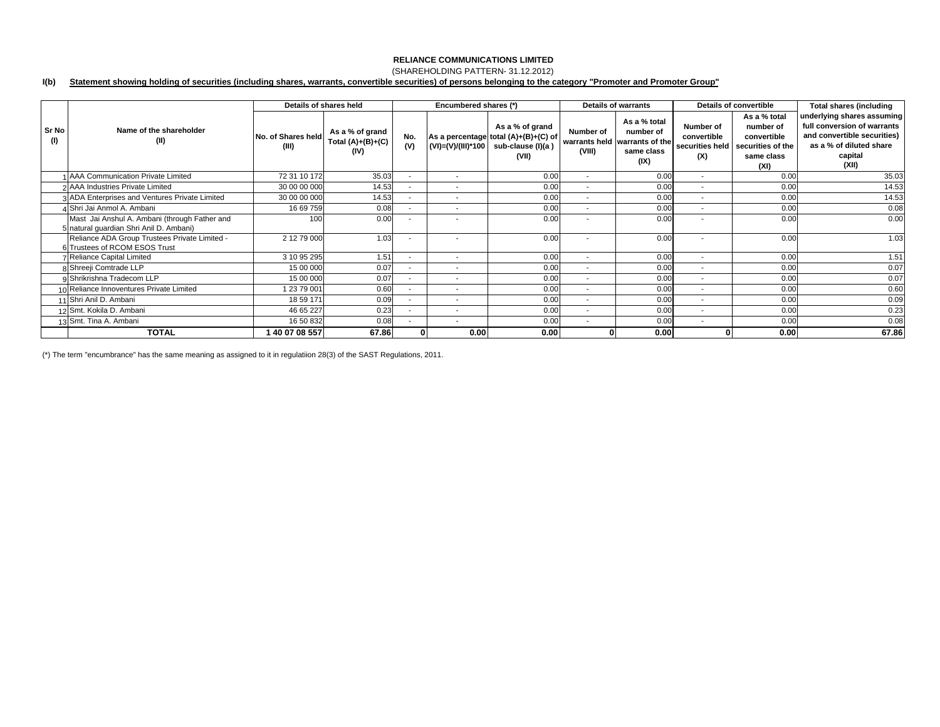### (SHAREHOLDING PATTERN- 31.12.2012)

#### **I(b) Statement showing holding of securities (including shares, warrants, convertible securities) of persons belonging to the category "Promoter and Promoter Group"**

|              |                                                                                          |                             | Details of shares held                         |                          | Encumbered shares (*)    |                                                                                                            |                          | <b>Details of warrants</b>                                                       | Details of convertible                             |                                                                                     | <b>Total shares (including</b>                                                                                                          |
|--------------|------------------------------------------------------------------------------------------|-----------------------------|------------------------------------------------|--------------------------|--------------------------|------------------------------------------------------------------------------------------------------------|--------------------------|----------------------------------------------------------------------------------|----------------------------------------------------|-------------------------------------------------------------------------------------|-----------------------------------------------------------------------------------------------------------------------------------------|
| Sr No<br>(1) | Name of the shareholder<br>(II)                                                          | No. of Shares held<br>(III) | As a % of grand<br>Total $(A)+(B)+(C)$<br>(IV) | No.<br>(V)               |                          | As a % of grand<br>As a percentage total (A)+(B)+(C) of<br>(VI)=(V)/(III)*100   sub-clause (I)(a)<br>(VII) | Number of<br>(VIII)      | As a % total<br>number of<br>warrants held warrants of the<br>same class<br>(IX) | Number of<br>convertible<br>securities held<br>(X) | As a % total<br>number of<br>convertible<br>securities of the<br>same class<br>(XI) | underlying shares assuming<br>full conversion of warrants<br>and convertible securities)<br>as a % of diluted share<br>capital<br>(XII) |
|              | <b>I AAA Communication Private Limited</b>                                               | 72 31 10 172                | 35.03                                          | $\overline{\phantom{a}}$ | $\sim$                   | 0.00                                                                                                       | $\sim$                   | 0.00                                                                             | $\overline{\phantom{a}}$                           | 0.00                                                                                | 35.03                                                                                                                                   |
|              | 2 AAA Industries Private Limited                                                         | 30 00 00 000                | 14.53                                          | $\overline{\phantom{a}}$ | $\blacksquare$           | 0.00                                                                                                       | $\sim$                   | 0.00                                                                             | $\overline{\phantom{a}}$                           | 0.00                                                                                | 14.53                                                                                                                                   |
|              | 3 ADA Enterprises and Ventures Private Limited                                           | 30 00 00 000                | 14.53                                          | $\sim$                   | $\overline{\phantom{a}}$ | 0.00                                                                                                       | $\sim$                   | 0.00                                                                             | $\overline{\phantom{a}}$                           | 0.00                                                                                | 14.53                                                                                                                                   |
|              | 4 Shri Jai Anmol A. Ambani                                                               | 16 69 759                   | 0.08                                           | $\sim$                   | $\overline{\phantom{a}}$ | 0.00                                                                                                       | $\sim$                   | 0.00                                                                             | $\overline{\phantom{a}}$                           | 0.00                                                                                | 0.08                                                                                                                                    |
|              | Mast Jai Anshul A. Ambani (through Father and<br>5 natural quardian Shri Anil D. Ambani) | 100                         | 0.00                                           | $\overline{\phantom{a}}$ |                          | 0.00                                                                                                       | $\overline{\phantom{a}}$ | 0.00                                                                             | ۰                                                  | 0.00                                                                                | 0.00                                                                                                                                    |
|              | Reliance ADA Group Trustees Private Limited -<br>6 Trustees of RCOM ESOS Trust           | 2 12 79 000                 | 1.03                                           | $\overline{\phantom{a}}$ |                          | 0.00                                                                                                       |                          | 0.00                                                                             | $\overline{\phantom{a}}$                           | 0.00                                                                                | 1.03                                                                                                                                    |
|              | 7 Reliance Capital Limited                                                               | 3 10 95 295                 | 1.51                                           | $\sim$                   | $\sim$                   | 0.00                                                                                                       | $\sim$                   | 0.00                                                                             | $\sim$                                             | 0.00                                                                                | 1.51                                                                                                                                    |
|              | 8 Shreeji Comtrade LLP                                                                   | 15 00 000                   | 0.07                                           | $\overline{\phantom{a}}$ | $\overline{\phantom{a}}$ | 0.00                                                                                                       | $\overline{\phantom{a}}$ | 0.00                                                                             | $\overline{\phantom{a}}$                           | 0.00                                                                                | 0.07                                                                                                                                    |
|              | 9 Shrikrishna Tradecom LLP                                                               | 15 00 000                   | 0.07                                           | $\sim$                   | $\blacksquare$           | 0.00                                                                                                       | $\sim$                   | 0.00                                                                             | $\overline{\phantom{a}}$                           | 0.00                                                                                | 0.07                                                                                                                                    |
|              | 10 Reliance Innoventures Private Limited                                                 | 1 23 79 001                 | 0.60                                           | $\overline{\phantom{a}}$ | $\overline{\phantom{a}}$ | 0.00                                                                                                       | $\overline{\phantom{a}}$ | 0.00                                                                             | $\overline{\phantom{a}}$                           | 0.00                                                                                | 0.60                                                                                                                                    |
|              | 11 Shri Anil D. Ambani                                                                   | 18 59 171                   | 0.09                                           | $\overline{\phantom{a}}$ | $\overline{\phantom{a}}$ | 0.00                                                                                                       | $\sim$                   | 0.00                                                                             | ٠                                                  | 0.00                                                                                | 0.09                                                                                                                                    |
|              | 12 Smt. Kokila D. Ambani                                                                 | 46 65 227                   | 0.23                                           | $\overline{\phantom{a}}$ | $\blacksquare$           | 0.00                                                                                                       | $\sim$                   | 0.00                                                                             | $\overline{\phantom{a}}$                           | 0.00                                                                                | 0.23                                                                                                                                    |
|              | 13 Smt. Tina A. Ambani                                                                   | 16 50 832                   | 0.08                                           |                          | $\overline{\phantom{a}}$ | 0.00                                                                                                       | $\overline{\phantom{a}}$ | 0.00                                                                             | $\overline{\phantom{a}}$                           | 0.00                                                                                | 0.08                                                                                                                                    |
|              | <b>TOTAL</b>                                                                             | 40 07 08 557                | 67.86                                          |                          | 0.00                     | 0.00                                                                                                       |                          | 0.00                                                                             |                                                    | 0.00                                                                                | 67.86                                                                                                                                   |

(\*) The term "encumbrance" has the same meaning as assigned to it in regulatiion 28(3) of the SAST Regulations, 2011.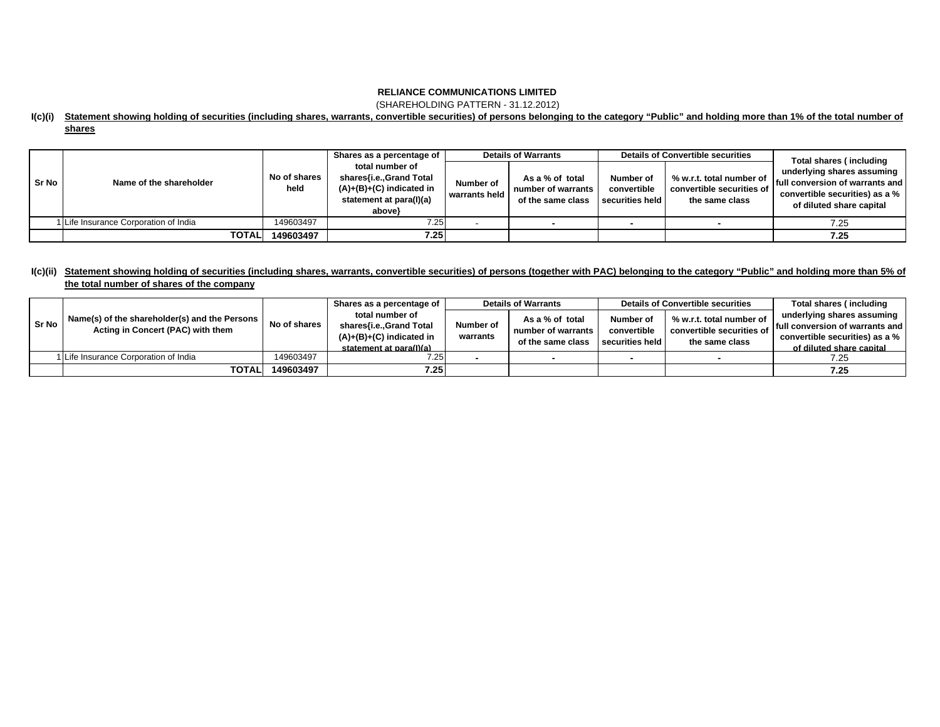(SHAREHOLDING PATTERN - 31.12.2012)

### **I(c)(i) Statement showing holding of securities (including shares, warrants, convertible securities) of persons belonging to the category "Public" and holding more than 1% of the total number of shares**

|         |                                     |                      | Shares as a percentage of                                                                                     |                            | <b>Details of Warrants</b>                                 |                                             | <b>Details of Convertible securities</b>                                | Total shares (including                                                                                                                |  |
|---------|-------------------------------------|----------------------|---------------------------------------------------------------------------------------------------------------|----------------------------|------------------------------------------------------------|---------------------------------------------|-------------------------------------------------------------------------|----------------------------------------------------------------------------------------------------------------------------------------|--|
| l Sr No | Name of the shareholder             | No of shares<br>held | total number of<br>shares{i.e.,Grand Total<br>$(A)+(B)+(C)$ indicated in<br>statement at para(I)(a)<br>above} | Number of<br>warrants held | As a % of total<br>number of warrants<br>of the same class | Number of<br>convertible<br>securities held | % w.r.t. total number of<br>convertible securities of<br>the same class | underlying shares assuming<br><b>If ull conversion of warrants and I</b><br>convertible securities) as a %<br>of diluted share capital |  |
|         | Life Insurance Corporation of India | 149603497            | 7.25                                                                                                          |                            |                                                            |                                             |                                                                         | 7.25                                                                                                                                   |  |
|         | <b>TOTAL</b>                        | 149603497            | 7.25                                                                                                          |                            |                                                            |                                             |                                                                         | 7.25                                                                                                                                   |  |

### **I(c)(ii) Statement showing holding of securities (including shares, warrants, convertible securities) of persons (together with PAC) belonging to the category "Public" and holding more than 5% of the total number of shares of the company**

| l Sr No | Name(s) of the shareholder(s) and the Persons<br>Acting in Concert (PAC) with them |              | Shares as a percentage of                                                                           |                       | <b>Details of Warrants</b> |                                                                                        | <b>Details of Convertible securities</b>                                | Total shares (including         |
|---------|------------------------------------------------------------------------------------|--------------|-----------------------------------------------------------------------------------------------------|-----------------------|----------------------------|----------------------------------------------------------------------------------------|-------------------------------------------------------------------------|---------------------------------|
|         |                                                                                    | No of shares | total number of<br>shares{i.e.,Grand Total<br>$(A)+(B)+(C)$ indicated in<br>statement at para(I)(a) |                       | As a % of total            | Number of<br>convertible<br>number of warrants<br>securities held<br>of the same class | % w.r.t. total number of<br>convertible securities of<br>the same class | underlying shares assuming      |
|         |                                                                                    |              |                                                                                                     | Number of<br>warrants |                            |                                                                                        |                                                                         | full conversion of warrants and |
|         |                                                                                    |              |                                                                                                     |                       |                            |                                                                                        |                                                                         | convertible securities) as a %  |
|         |                                                                                    |              |                                                                                                     |                       |                            |                                                                                        |                                                                         | of diluted share capital        |
|         | 1 Life Insurance Corporation of India                                              | 149603497    | 7.25                                                                                                |                       |                            |                                                                                        |                                                                         | 7.25                            |
|         | <b>TOTAL</b>                                                                       | 149603497    | 7.25                                                                                                |                       |                            |                                                                                        |                                                                         | 7.25                            |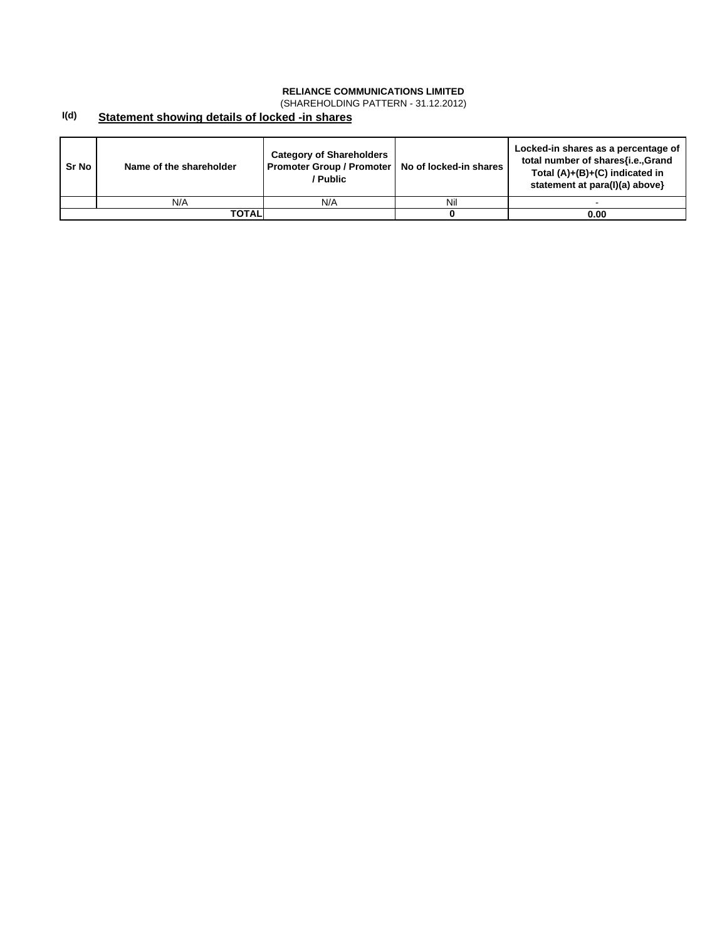(SHAREHOLDING PATTERN - 31.12.2012)

#### **I(d) Statement showing details of locked -in shares**

| Sr No | Name of the shareholder | <b>Category of Shareholders</b><br>Promoter Group / Promoter   No of locked-in shares<br>/ Public |     | Locked-in shares as a percentage of<br>total number of shares{i.e.,Grand<br>Total $(A)+(B)+(C)$ indicated in<br>statement at para(I)(a) above} |
|-------|-------------------------|---------------------------------------------------------------------------------------------------|-----|------------------------------------------------------------------------------------------------------------------------------------------------|
|       | N/A                     | N/A                                                                                               | Nil |                                                                                                                                                |
|       | TOTALI                  |                                                                                                   |     | 0.00                                                                                                                                           |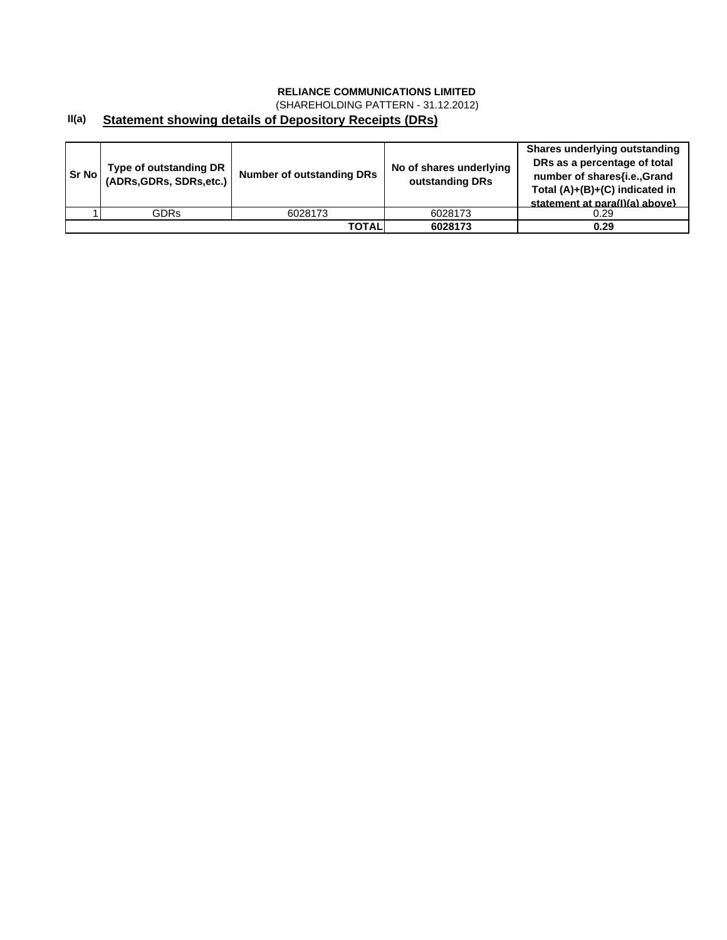(SHAREHOLDING PATTERN - 31.12.2012)

#### **II(a) Statement showing details of Depository Receipts (DRs)**

| Sr Nol | Type of outstanding DR<br>(ADRs, GDRs, SDRs, etc.) | <b>Number of outstanding DRs</b> | No of shares underlying<br>outstanding DRs | <b>Shares underlying outstanding</b><br>DRs as a percentage of total<br>number of shares{i.e., Grand<br>Total (A)+(B)+(C) indicated in<br>statement at para(I)(a) above} |
|--------|----------------------------------------------------|----------------------------------|--------------------------------------------|--------------------------------------------------------------------------------------------------------------------------------------------------------------------------|
|        | <b>GDRs</b>                                        | 6028173                          | 6028173                                    | 0.29                                                                                                                                                                     |
|        |                                                    | <b>TOTAL</b>                     | 6028173                                    | 0.29                                                                                                                                                                     |